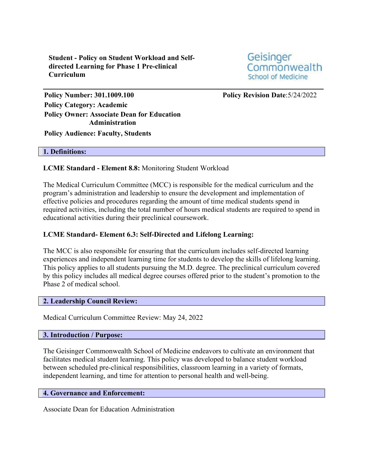**Student - Policy on Student Workload and Selfdirected Learning for Phase 1 Pre-clinical Curriculum**

Geisinger Commonwealth **School of Medicine** 

**Policy Number: 301.1009.100 Policy Revision Date**:5/24/2022 **Policy Category: Academic Policy Owner: Associate Dean for Education Administration Policy Audience: Faculty, Students**

#### **1. Definitions:**

## **LCME Standard - Element 8.8:** Monitoring Student Workload

The Medical Curriculum Committee (MCC) is responsible for the medical curriculum and the program's administration and leadership to ensure the development and implementation of effective policies and procedures regarding the amount of time medical students spend in required activities, including the total number of hours medical students are required to spend in educational activities during their preclinical coursework.

### **LCME Standard- Element 6.3: Self-Directed and Lifelong Learning:**

The MCC is also responsible for ensuring that the curriculum includes self-directed learning experiences and independent learning time for students to develop the skills of lifelong learning. This policy applies to all students pursuing the M.D. degree. The preclinical curriculum covered by this policy includes all medical degree courses offered prior to the student's promotion to the Phase 2 of medical school.

### **2. Leadership Council Review:**

Medical Curriculum Committee Review: May 24, 2022

#### **3. Introduction / Purpose:**

The Geisinger Commonwealth School of Medicine endeavors to cultivate an environment that facilitates medical student learning. This policy was developed to balance student workload between scheduled pre-clinical responsibilities, classroom learning in a variety of formats, independent learning, and time for attention to personal health and well-being.

### **4. Governance and Enforcement:**

Associate Dean for Education Administration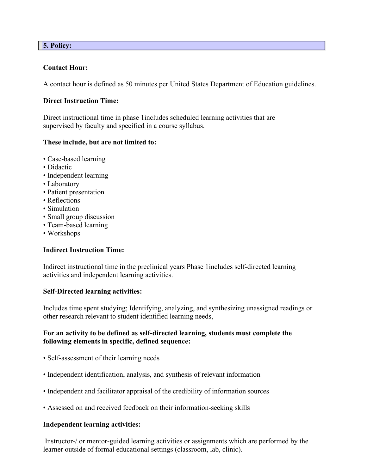## **5. Policy:**

## **Contact Hour:**

A contact hour is defined as 50 minutes per United States Department of Education guidelines.

#### **Direct Instruction Time:**

Direct instructional time in phase 1includes scheduled learning activities that are supervised by faculty and specified in a course syllabus.

### **These include, but are not limited to:**

- Case-based learning
- Didactic
- Independent learning
- Laboratory
- Patient presentation
- Reflections
- Simulation
- Small group discussion
- Team-based learning
- Workshops

## **Indirect Instruction Time:**

Indirect instructional time in the preclinical years Phase 1includes self-directed learning activities and independent learning activities.

#### **Self-Directed learning activities:**

Includes time spent studying; Identifying, analyzing, and synthesizing unassigned readings or other research relevant to student identified learning needs,

## **For an activity to be defined as self-directed learning, students must complete the following elements in specific, defined sequence:**

- Self-assessment of their learning needs
- Independent identification, analysis, and synthesis of relevant information
- Independent and facilitator appraisal of the credibility of information sources
- Assessed on and received feedback on their information-seeking skills

#### **Independent learning activities:**

Instructor-/ or mentor-guided learning activities or assignments which are performed by the learner outside of formal educational settings (classroom, lab, clinic).